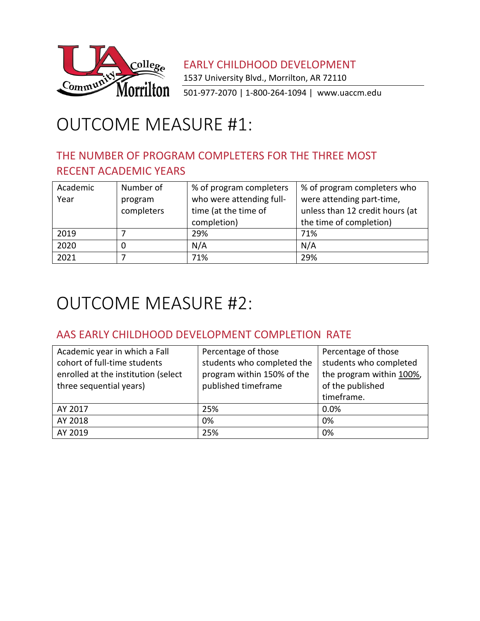

EARLY CHILDHOOD DEVELOPMENT 1537 University Blvd., Morrilton, AR 72110 501-977-2070 | 1-800-264-1094 | [www.uaccm.edu](http://www.uaccm.edu/)

# OUTCOME MEASURE #1:

### THE NUMBER OF PROGRAM COMPLETERS FOR THE THREE MOST RECENT ACADEMIC YEARS

| Academic<br>Year | Number of<br>program<br>completers | % of program completers<br>who were attending full-<br>time (at the time of | % of program completers who<br>were attending part-time,<br>unless than 12 credit hours (at |
|------------------|------------------------------------|-----------------------------------------------------------------------------|---------------------------------------------------------------------------------------------|
|                  |                                    | completion)                                                                 | the time of completion)                                                                     |
| 2019             |                                    | 29%                                                                         | 71%                                                                                         |
| 2020             |                                    | N/A                                                                         | N/A                                                                                         |
| 2021             |                                    | 71%                                                                         | 29%                                                                                         |

### OUTCOME MEASURE #2:

#### AAS EARLY CHILDHOOD DEVELOPMENT COMPLETION RATE

| Academic year in which a Fall       | Percentage of those        | Percentage of those      |
|-------------------------------------|----------------------------|--------------------------|
| cohort of full-time students        | students who completed the | students who completed   |
| enrolled at the institution (select | program within 150% of the | the program within 100%, |
| three sequential years)             | published timeframe        | of the published         |
|                                     |                            | timeframe.               |
| AY 2017                             | 25%                        | 0.0%                     |
| AY 2018                             | 0%                         | 0%                       |
| AY 2019                             | 25%                        | 0%                       |